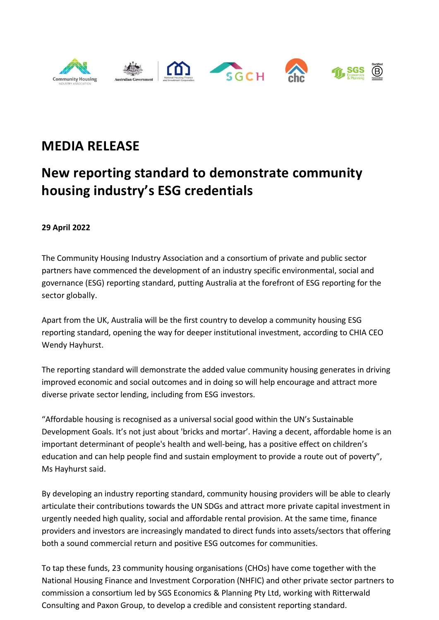

## **MEDIA RELEASE**

## **New reporting standard to demonstrate community housing industry's ESG credentials**

## **29 April 2022**

The Community Housing Industry Association and a consortium of private and public sector partners have commenced the development of an industry specific environmental, social and governance (ESG) reporting standard, putting Australia at the forefront of ESG reporting for the sector globally.

Apart from the UK, Australia will be the first country to develop a community housing ESG reporting standard, opening the way for deeper institutional investment, according to CHIA CEO Wendy Hayhurst.

The reporting standard will demonstrate the added value community housing generates in driving improved economic and social outcomes and in doing so will help encourage and attract more diverse private sector lending, including from ESG investors.

"Affordable housing is recognised as a universal social good within the UN's Sustainable Development Goals. It's not just about 'bricks and mortar'. Having a decent, affordable home is an important determinant of people's health and well-being, has a positive effect on children's education and can help people find and sustain employment to provide a route out of poverty", Ms Hayhurst said.

By developing an industry reporting standard, community housing providers will be able to clearly articulate their contributions towards the UN SDGs and attract more private capital investment in urgently needed high quality, social and affordable rental provision. At the same time, finance providers and investors are increasingly mandated to direct funds into assets/sectors that offering both a sound commercial return and positive ESG outcomes for communities.

To tap these funds, 23 community housing organisations (CHOs) have come together with the National Housing Finance and Investment Corporation (NHFIC) and other private sector partners to commission a consortium led by SGS Economics & Planning Pty Ltd, working with Ritterwald Consulting and Paxon Group, to develop a credible and consistent reporting standard.